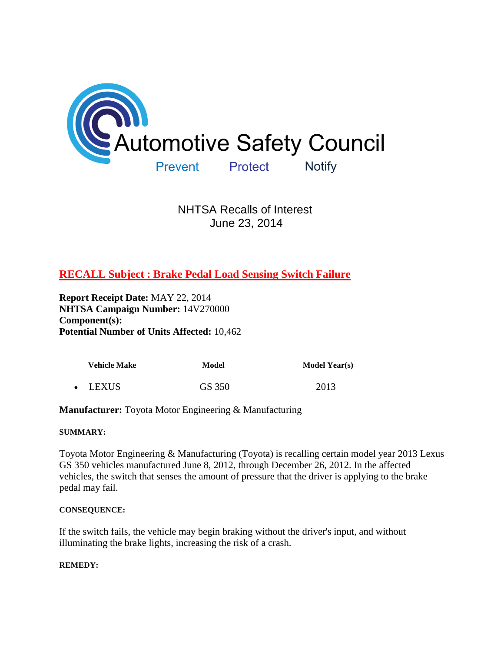

 NHTSA Recalls of Interest June 23, 2014

# **[RECALL Subject : Brake Pedal Load Sensing Switch Failure](http://www-odi.nhtsa.dot.gov/owners/SearchResults?refurl=email&searchType=ID&targetCategory=R&searchCriteria.nhtsa_ids=14V270)**

**Report Receipt Date:** MAY 22, 2014 **NHTSA Campaign Number:** 14V270000 **Component(s): Potential Number of Units Affected:** 10,462

| <b>Vehicle Make</b> | Model  | <b>Model Year(s)</b> |
|---------------------|--------|----------------------|
| • LEXUS             | GS 350 | 2013                 |

## **Manufacturer:** Toyota Motor Engineering & Manufacturing

## **SUMMARY:**

Toyota Motor Engineering & Manufacturing (Toyota) is recalling certain model year 2013 Lexus GS 350 vehicles manufactured June 8, 2012, through December 26, 2012. In the affected vehicles, the switch that senses the amount of pressure that the driver is applying to the brake pedal may fail.

### **CONSEQUENCE:**

If the switch fails, the vehicle may begin braking without the driver's input, and without illuminating the brake lights, increasing the risk of a crash.

### **REMEDY:**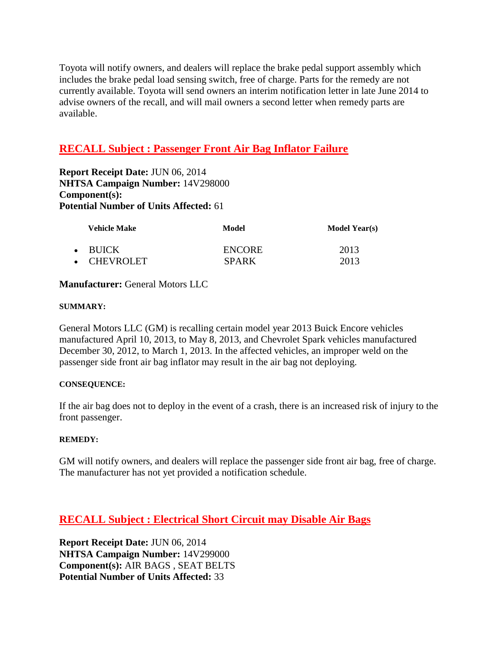Toyota will notify owners, and dealers will replace the brake pedal support assembly which includes the brake pedal load sensing switch, free of charge. Parts for the remedy are not currently available. Toyota will send owners an interim notification letter in late June 2014 to advise owners of the recall, and will mail owners a second letter when remedy parts are available.

# **[RECALL Subject : Passenger Front Air Bag Inflator Failure](http://www-odi.nhtsa.dot.gov/owners/SearchResults?refurl=email&searchType=ID&targetCategory=R&searchCriteria.nhtsa_ids=14V298)**

**Report Receipt Date:** JUN 06, 2014 **NHTSA Campaign Number:** 14V298000 **Component(s): Potential Number of Units Affected:** 61

| <b>Vehicle Make</b> | Model         | <b>Model Year(s)</b> |
|---------------------|---------------|----------------------|
| $\bullet$ BUICK     | <b>ENCORE</b> | 2013                 |
| • CHEVROLET         | <b>SPARK</b>  | 2013                 |

## **Manufacturer:** General Motors LLC

#### **SUMMARY:**

General Motors LLC (GM) is recalling certain model year 2013 Buick Encore vehicles manufactured April 10, 2013, to May 8, 2013, and Chevrolet Spark vehicles manufactured December 30, 2012, to March 1, 2013. In the affected vehicles, an improper weld on the passenger side front air bag inflator may result in the air bag not deploying.

### **CONSEQUENCE:**

If the air bag does not to deploy in the event of a crash, there is an increased risk of injury to the front passenger.

### **REMEDY:**

GM will notify owners, and dealers will replace the passenger side front air bag, free of charge. The manufacturer has not yet provided a notification schedule.

## **[RECALL Subject : Electrical Short Circuit may Disable Air Bags](http://www-odi.nhtsa.dot.gov/owners/SearchResults?refurl=email&searchType=ID&targetCategory=R&searchCriteria.nhtsa_ids=14V299)**

**Report Receipt Date:** JUN 06, 2014 **NHTSA Campaign Number:** 14V299000 **Component(s):** AIR BAGS , SEAT BELTS **Potential Number of Units Affected:** 33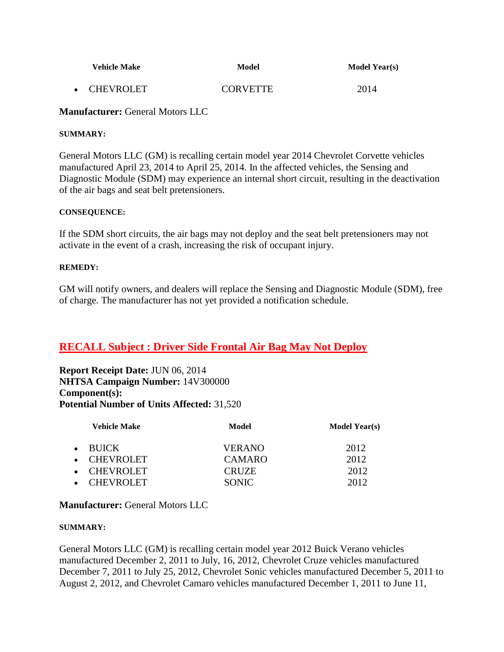| <b>Vehicle Make</b> | Model           | <b>Model Year(s)</b> |
|---------------------|-----------------|----------------------|
| • CHEVROLET         | <b>CORVETTE</b> | 2014                 |

## **Manufacturer:** General Motors LLC

### **SUMMARY:**

General Motors LLC (GM) is recalling certain model year 2014 Chevrolet Corvette vehicles manufactured April 23, 2014 to April 25, 2014. In the affected vehicles, the Sensing and Diagnostic Module (SDM) may experience an internal short circuit, resulting in the deactivation of the air bags and seat belt pretensioners.

### **CONSEQUENCE:**

If the SDM short circuits, the air bags may not deploy and the seat belt pretensioners may not activate in the event of a crash, increasing the risk of occupant injury.

### **REMEDY:**

GM will notify owners, and dealers will replace the Sensing and Diagnostic Module (SDM), free of charge. The manufacturer has not yet provided a notification schedule.

## **[RECALL Subject : Driver Side Frontal Air Bag May Not Deploy](http://www-odi.nhtsa.dot.gov/owners/SearchResults?refurl=email&searchType=ID&targetCategory=R&searchCriteria.nhtsa_ids=14V300)**

**Report Receipt Date:** JUN 06, 2014 **NHTSA Campaign Number:** 14V300000 **Component(s): Potential Number of Units Affected:** 31,520

| <b>Vehicle Make</b> | Model         | <b>Model Year(s)</b> |
|---------------------|---------------|----------------------|
| $\bullet$ BUICK     | <b>VERANO</b> | 2012                 |
| • CHEVROLET         | CAMARO        | 2012                 |
| • CHEVROLET         | <b>CRUZE</b>  | 2012                 |
| • CHEVROLET         | <b>SONIC</b>  | 2012                 |

## **Manufacturer:** General Motors LLC

### **SUMMARY:**

General Motors LLC (GM) is recalling certain model year 2012 Buick Verano vehicles manufactured December 2, 2011 to July, 16, 2012, Chevrolet Cruze vehicles manufactured December 7, 2011 to July 25, 2012, Chevrolet Sonic vehicles manufactured December 5, 2011 to August 2, 2012, and Chevrolet Camaro vehicles manufactured December 1, 2011 to June 11,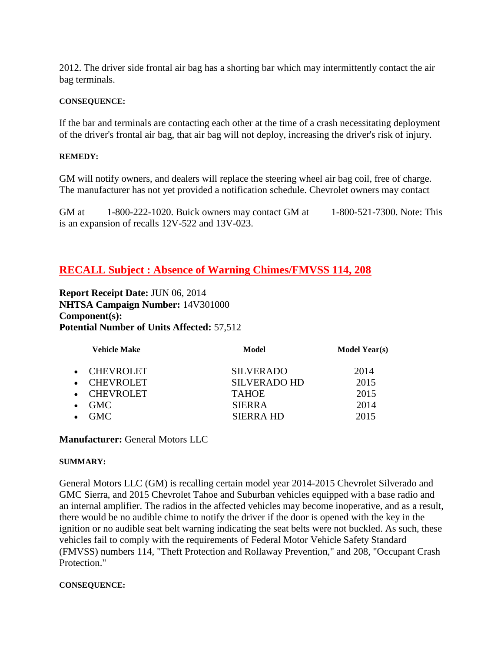2012. The driver side frontal air bag has a shorting bar which may intermittently contact the air bag terminals.

### **CONSEQUENCE:**

If the bar and terminals are contacting each other at the time of a crash necessitating deployment of the driver's frontal air bag, that air bag will not deploy, increasing the driver's risk of injury.

### **REMEDY:**

GM will notify owners, and dealers will replace the steering wheel air bag coil, free of charge. The manufacturer has not yet provided a notification schedule. Chevrolet owners may contact

GM at 1-800-222-1020. Buick owners may contact GM at 1-800-521-7300. Note: This is an expansion of recalls 12V-522 and 13V-023.

# **[RECALL Subject : Absence of Warning Chimes/FMVSS 114, 208](http://www-odi.nhtsa.dot.gov/owners/SearchResults?refurl=email&searchType=ID&targetCategory=R&searchCriteria.nhtsa_ids=14V301)**

**Report Receipt Date:** JUN 06, 2014 **NHTSA Campaign Number:** 14V301000 **Component(s): Potential Number of Units Affected:** 57,512

| <b>Vehicle Make</b> | Model               | <b>Model Year(s)</b> |
|---------------------|---------------------|----------------------|
| • CHEVROLET         | <b>SILVERADO</b>    | 2014                 |
| • CHEVROLET         | <b>SILVERADO HD</b> | 2015                 |
| • CHEVROLET         | <b>TAHOE</b>        | 2015                 |
| - GMC<br>$\bullet$  | <b>SIERRA</b>       | 2014                 |
| GMC.                | <b>SIERRA HD</b>    | 2015                 |

## **Manufacturer:** General Motors LLC

### **SUMMARY:**

General Motors LLC (GM) is recalling certain model year 2014-2015 Chevrolet Silverado and GMC Sierra, and 2015 Chevrolet Tahoe and Suburban vehicles equipped with a base radio and an internal amplifier. The radios in the affected vehicles may become inoperative, and as a result, there would be no audible chime to notify the driver if the door is opened with the key in the ignition or no audible seat belt warning indicating the seat belts were not buckled. As such, these vehicles fail to comply with the requirements of Federal Motor Vehicle Safety Standard (FMVSS) numbers 114, "Theft Protection and Rollaway Prevention," and 208, "Occupant Crash Protection."

### **CONSEQUENCE:**